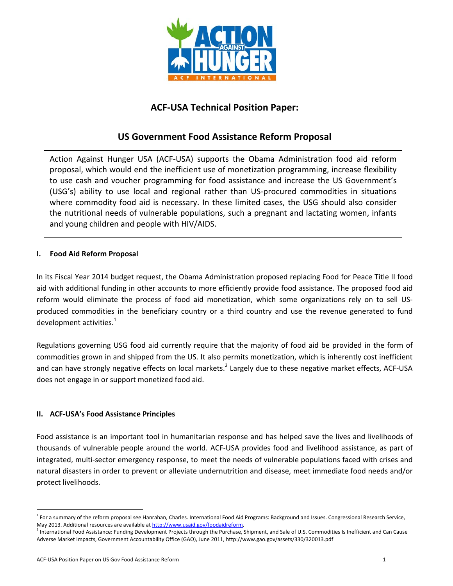

# **ACF‐USA Technical Position Paper:**

## **US Government Food Assistance Reform Proposal**

Action Against Hunger USA (ACF‐USA) supports the Obama Administration food aid reform proposal, which would end the inefficient use of monetization programming, increase flexibility to use cash and voucher programming for food assistance and increase the US Government's (USG's) ability to use local and regional rather than US‐procured commodities in situations where commodity food aid is necessary. In these limited cases, the USG should also consider the nutritional needs of vulnerable populations, such a pregnant and lactating women, infants and young children and people with HIV/AIDS.

## **I. Food Aid Reform Proposal**

In its Fiscal Year 2014 budget request, the Obama Administration proposed replacing Food for Peace Title II food aid with additional funding in other accounts to more efficiently provide food assistance. The proposed food aid reform would eliminate the process of food aid monetization, which some organizations rely on to sell US‐ produced commodities in the beneficiary country or a third country and use the revenue generated to fund development activities. $1$ 

Regulations governing USG food aid currently require that the majority of food aid be provided in the form of commodities grown in and shipped from the US. It also permits monetization, which is inherently cost inefficient and can have strongly negative effects on local markets.<sup>2</sup> Largely due to these negative market effects, ACF-USA does not engage in or support monetized food aid.

## **II. ACF‐USA's Food Assistance Principles**

Food assistance is an important tool in humanitarian response and has helped save the lives and livelihoods of thousands of vulnerable people around the world. ACF‐USA provides food and livelihood assistance, as part of integrated, multi‐sector emergency response, to meet the needs of vulnerable populations faced with crises and natural disasters in order to prevent or alleviate undernutrition and disease, meet immediate food needs and/or protect livelihoods.

<sup>&</sup>lt;sup>1</sup> For a summary of the reform proposal see Hanrahan, Charles. International Food Aid Programs: Background and Issues. Congressional Research Service, May 2013. Additional resources are available at http://www.usaid.gov/foodaidreform.<br><sup>2</sup> International Food Assistance: Funding Development Projects through the Purchase, Shipment, and Sale of U.S. Commodities Is Inefficien

Adverse Market Impacts, Government Accountability Office (GAO), June 2011, http://www.gao.gov/assets/330/320013.pdf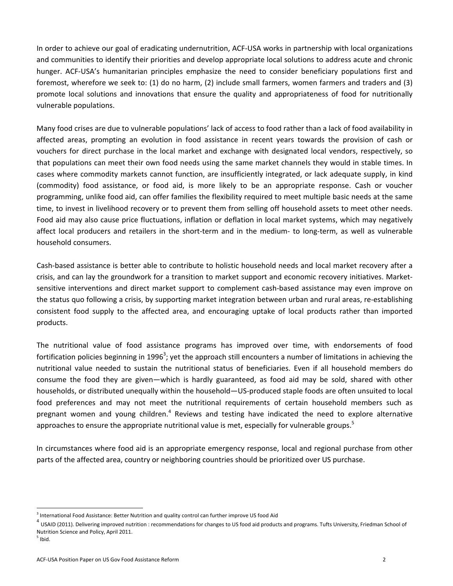In order to achieve our goal of eradicating undernutrition, ACF‐USA works in partnership with local organizations and communities to identify their priorities and develop appropriate local solutions to address acute and chronic hunger. ACF‐USA's humanitarian principles emphasize the need to consider beneficiary populations first and foremost, wherefore we seek to: (1) do no harm, (2) include small farmers, women farmers and traders and (3) promote local solutions and innovations that ensure the quality and appropriateness of food for nutritionally vulnerable populations.

Many food crises are due to vulnerable populations' lack of access to food rather than a lack of food availability in affected areas, prompting an evolution in food assistance in recent years towards the provision of cash or vouchers for direct purchase in the local market and exchange with designated local vendors, respectively, so that populations can meet their own food needs using the same market channels they would in stable times. In cases where commodity markets cannot function, are insufficiently integrated, or lack adequate supply, in kind (commodity) food assistance, or food aid, is more likely to be an appropriate response. Cash or voucher programming, unlike food aid, can offer families the flexibility required to meet multiple basic needs at the same time, to invest in livelihood recovery or to prevent them from selling off household assets to meet other needs. Food aid may also cause price fluctuations, inflation or deflation in local market systems, which may negatively affect local producers and retailers in the short-term and in the medium- to long-term, as well as vulnerable household consumers.

Cash‐based assistance is better able to contribute to holistic household needs and local market recovery after a crisis, and can lay the groundwork for a transition to market support and economic recovery initiatives. Market‐ sensitive interventions and direct market support to complement cash-based assistance may even improve on the status quo following a crisis, by supporting market integration between urban and rural areas, re‐establishing consistent food supply to the affected area, and encouraging uptake of local products rather than imported products.

The nutritional value of food assistance programs has improved over time, with endorsements of food fortification policies beginning in 1996<sup>3</sup>; yet the approach still encounters a number of limitations in achieving the nutritional value needed to sustain the nutritional status of beneficiaries. Even if all household members do consume the food they are given—which is hardly guaranteed, as food aid may be sold, shared with other households, or distributed unequally within the household—US‐produced staple foods are often unsuited to local food preferences and may not meet the nutritional requirements of certain household members such as pregnant women and young children.<sup>4</sup> Reviews and testing have indicated the need to explore alternative approaches to ensure the appropriate nutritional value is met, especially for vulnerable groups.<sup>5</sup>

In circumstances where food aid is an appropriate emergency response, local and regional purchase from other parts of the affected area, country or neighboring countries should be prioritized over US purchase.

<sup>&</sup>lt;sup>3</sup> International Food Assistance: Better Nutrition and quality control can further improve US food Aid<br><sup>4</sup> USAID (2011). Delivering improved nutrition : recommendations for changes to US food aid products and programs. T Nutrition Science and Policy, April 2011.

 $<sup>5</sup>$  Ibid.</sup>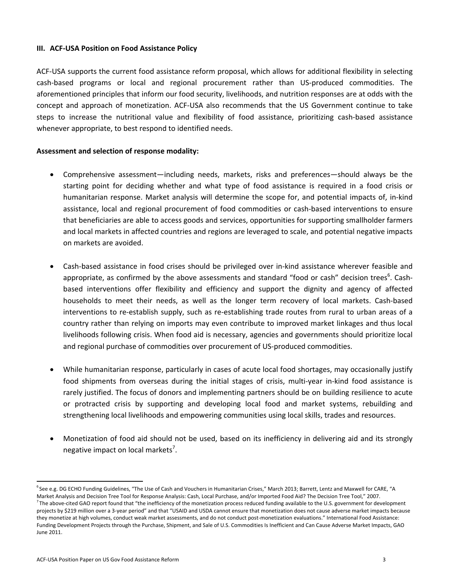#### **III. ACF‐USA Position on Food Assistance Policy**

ACF‐USA supports the current food assistance reform proposal, which allows for additional flexibility in selecting cash‐based programs or local and regional procurement rather than US‐produced commodities. The aforementioned principles that inform our food security, livelihoods, and nutrition responses are at odds with the concept and approach of monetization. ACF‐USA also recommends that the US Government continue to take steps to increase the nutritional value and flexibility of food assistance, prioritizing cash‐based assistance whenever appropriate, to best respond to identified needs.

#### **Assessment and selection of response modality:**

- Comprehensive assessment—including needs, markets, risks and preferences—should always be the starting point for deciding whether and what type of food assistance is required in a food crisis or humanitarian response. Market analysis will determine the scope for, and potential impacts of, in‐kind assistance, local and regional procurement of food commodities or cash‐based interventions to ensure that beneficiaries are able to access goods and services, opportunities for supporting smallholder farmers and local markets in affected countries and regions are leveraged to scale, and potential negative impacts on markets are avoided.
- Cash‐based assistance in food crises should be privileged over in‐kind assistance wherever feasible and appropriate, as confirmed by the above assessments and standard "food or cash" decision trees<sup>6</sup>. Cashbased interventions offer flexibility and efficiency and support the dignity and agency of affected households to meet their needs, as well as the longer term recovery of local markets. Cash-based interventions to re‐establish supply, such as re‐establishing trade routes from rural to urban areas of a country rather than relying on imports may even contribute to improved market linkages and thus local livelihoods following crisis. When food aid is necessary, agencies and governments should prioritize local and regional purchase of commodities over procurement of US‐produced commodities.
- While humanitarian response, particularly in cases of acute local food shortages, may occasionally justify food shipments from overseas during the initial stages of crisis, multi-year in-kind food assistance is rarely justified. The focus of donors and implementing partners should be on building resilience to acute or protracted crisis by supporting and developing local food and market systems, rebuilding and strengthening local livelihoods and empowering communities using local skills, trades and resources.
- Monetization of food aid should not be used, based on its inefficiency in delivering aid and its strongly negative impact on local markets<sup>7</sup>.

<sup>&</sup>lt;sup>6</sup> See e.g. DG ECHO Funding Guidelines, "The Use of Cash and Vouchers in Humanitarian Crises," March 2013; Barrett, Lentz and Maxwell for CARE, "A Market Analysis and Decision Tree Tool for Response Analysis: Cash, Local Purchase, and/or Imported Food Aid? The Decision Tree Tool," 2007.  $^7$ The above-cited GAO report found that "the inefficiency of the monetization process reduced funding available to the U.S. government for development projects by \$219 million over a 3-year period" and that "USAID and USDA cannot ensure that monetization does not cause adverse market impacts because they monetize at high volumes, conduct weak market assessments, and do not conduct post-monetization evaluations." International Food Assistance: Funding Development Projects through the Purchase, Shipment, and Sale of U.S. Commodities Is Inefficient and Can Cause Adverse Market Impacts, GAO June 2011.